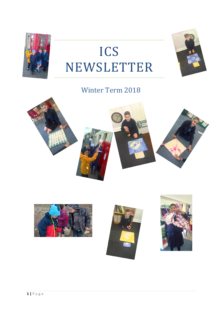

### **Winter Term 2018**







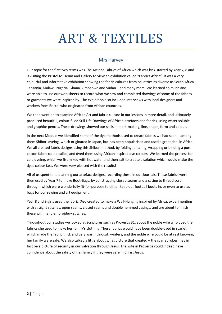# ART & TEXTILES

### Mrs Harvey

Our topic for the first two terms was The Art and Fabrics of Africa which was kick-started by Year 7, 8 and 9 visiting the Bristol Museum and Gallery to view an exhibition called "Fabrics Africa". It was a very colourful and informative exhibition showing the fabric cultures from countries as diverse as South Africa, Tanzania, Malawi, Nigeria, Ghana, Zimbabwe and Sudan….and many more. We learned so much and were able to use our worksheets to record what we saw and completed drawings of some of the fabrics or garments we were inspired by. The exhibition also included interviews with local designers and workers from Bristol who originated from African countries.

We then went on to examine African Art and fabric culture in our lessons in more detail, and ultimately produced beautiful, colour-filled Still Life Drawings of African artefacts and fabrics, using water soluble and graphite pencils. These drawings showed our skills in mark-making, line, shape, form and colour.

In the next Module we identified some of the dye methods used to create fabrics we had seen – among them Shibori dyeing, which originated in Japan, but has been popularised and used a great deal in Africa. We all created fabric designs using this Shibori method, by folding, pleating, wrapping or binding a pure cotton fabric called calico, and dyed them using African inspired dye colours. We learned the process for cold dyeing, which we fist mixed with hot water and then salt to create a solution which would make the dyes colour fast. We were very pleased with the results!

All of us spent time planning our artefact designs, recording these in our Journals. These fabrics were then used by Year 7 to make Boot-Bags, by constructing closed seams and a casing to thread cord through, which were wonderfully fit-for-purpose to either keep our football boots in, or even to use as bags for our sewing and art equipment.

Year 8 and 9 girls used the fabric *they* created to make a Wall-Hanging inspired by Africa, experimenting with straight stitches, open seams, closed seams and double hemmed casings, and are about to finish these with hand embroidery stitches.

Throughout our studies we looked at Scriptures such as Proverbs 31, about the noble wife who dyed the fabrics she used to make her family's clothing. These fabrics would have been double-dyed in scarlet, which made the fabric thick and very warm through winters, and the noble wife could be at rest knowing her family were safe. We also talked a little about what picture that created – the scarlet robes may in fact be a picture of security in our Salvation through Jesus. The wife in Proverbs could indeed have confidence about the safety of her family if they were safe in Christ Jesus.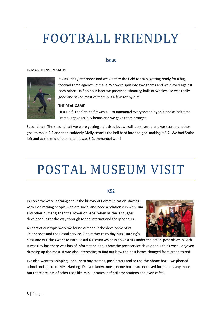# FOOTBALL FRIENDLY

#### Isaac

#### IMMANUEL vs EMMAUS



It was Friday afternoon and we went to the field to train, getting ready for a big football game against Emmaus. We were split into two teams and we played against each other. Half an hour later we practised shooting balls at Wesley. He was really good and saved most of them but a few got by him.

#### **THE REAL GAME**

First Half: The first half it was 4-1 to Immanuel everyone enjoyed it and at half time Emmaus gave us jelly beans and we gave them oranges.

Second half: The second half we were getting a bit tired but we still persevered and we scored another goal to make 5-2 and then suddenly Molly smacks the ball hard into the goal making it 6-2. We had 5mins left and at the end of the match it was 6-2. Immanuel won!

# POSTAL MUSEUM VISIT

#### KS2

In Topic we were learning about the history of Communication starting with God making people who are social and need a relationship with Him and other humans; then the Tower of Babel when all the languages developed, right the way through to the internet and the Iphone Xs.

As part of our topic work we found out about the development of Telephones and the Postal service. One rather rainy day Mrs. Harding's



class and our class went to Bath Postal Museum which is downstairs under the actual post office in Bath. It was tiny but there was lots of information about how the post service developed. I think we all enjoyed dressing up the most. It was also interesting to find out how the post boxes changed from green to red.

We also went to Chipping Sodbury to buy stamps, post letters and to use the phone box – we phoned school and spoke to Mrs. Harding! Did you know, most phone boxes are not used for phones any more but there are lots of other uses like mini-libraries, defibrillator stations and even cafes!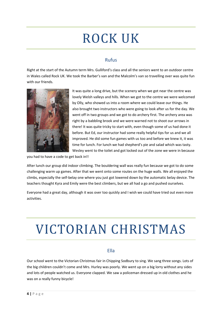# ROCK UK

### Rufus

Right at the start of the Autumn term Mrs. Gulliford's class and all the seniors went to an outdoor centre in Wales called Rock UK. We took the Barber's van and the Malcolm's van so travelling over was quite fun with our friends.



It was quite a long drive, but the scenery when we got near the centre was lovely Welsh valleys and hills. When we got to the centre we were welcomed by Olly, who showed us into a room where we could leave our things. He also brought two instructors who were going to look after us for the day. We went off in two groups and we got to do archery first. The archery area was right by a babbling brook and we were warned not to shoot our arrows in there! It was quite tricky to start with, even though some of us had done it before. But Ed, our instructor had some really helpful tips for us and we all improved. He did some fun games with us too and before we knew it, it was time for lunch. For lunch we had shepherd's pie and salad which was tasty. Wesley went to the toilet and got locked out of the zone we were in because

you had to have a code to get back in!!

After lunch our group did indoor climbing. The bouldering wall was really fun because we got to do some challenging warm up games. After that we went onto some routes on the huge walls. We all enjoyed the climbs, especially the self-belay one where you just got lowered down by the automatic belay device. The teachers thought Kyra and Emily were the best climbers, but we all had a go and pushed ourselves.

Everyone had a great day, although it was over too quickly and I wish we could have tried out even more activities.

# VICTORIAN CHRISTMAS

### Ella

Our school went to the Victorian Christmas fair in Chipping Sodbury to sing. We sang three songs. Lots of the big children couldn't come and Mrs. Hurley was poorly. We went up on a big lorry without any sides and lots of people watched us. Everyone clapped. We saw a policeman dressed up in old clothes and he was on a really funny bicycle!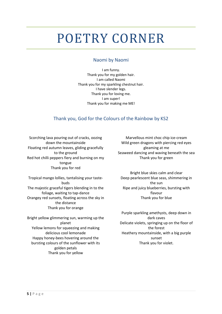# POETRY CORNER

### Naomi by Naomi

I am funny. Thank you for my golden hair. I am called Naomi Thank you for my sparkling chestnut hair. I have slender legs. Thank you for loving me. I am super! Thank you for making me ME!

### Thank you, God for the Colours of the Rainbow by KS2

Scorching lava pouring out of cracks, oozing down the mountainside Floating red autumn leaves, gliding gracefully to the ground Red hot chilli peppers fiery and burning on my tongue Thank you for red

Tropical mango lollies, tantalising your tastebuds The majestic graceful tigers blending in to the foliage, waiting to tap-dance Orangey red sunsets, floating across the sky in the distance Thank you for orange

Bright yellow glimmering sun, warming up the planet Yellow lemons for squeezing and making delicious cool lemonade Happy honey-bees hovering around the bursting colours of the sunflower with its golden petals Thank you for yellow

Marvellous mint choc chip ice-cream Wild green dragons with piercing red eyes gleaming at me Seaweed dancing and waving beneath the sea Thank you for green

Bright blue skies calm and clear Deep pearlescent blue seas, shimmering in the sun Ripe and juicy blueberries, bursting with flavour Thank you for blue

Purple sparkling amethysts, deep down in dark caves Delicate violets, springing up on the floor of the forest Heathery mountainside, with a big purple sunset Thank you for violet.